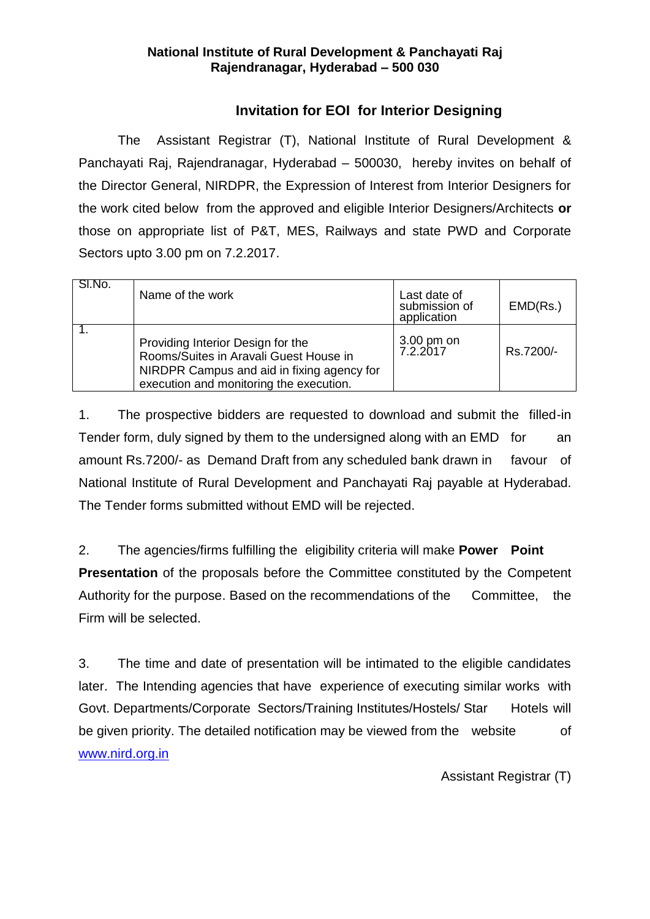# **National Institute of Rural Development & Panchayati Raj Rajendranagar, Hyderabad – 500 030**

# **Invitation for EOI for Interior Designing**

The Assistant Registrar (T), National Institute of Rural Development & Panchayati Raj, Rajendranagar, Hyderabad – 500030, hereby invites on behalf of the Director General, NIRDPR, the Expression of Interest from Interior Designers for the work cited below from the approved and eligible Interior Designers/Architects **or** those on appropriate list of P&T, MES, Railways and state PWD and Corporate Sectors upto 3.00 pm on 7.2.2017.

| SI.No. | Name of the work                                                                                                                                                     | Last date of<br>submission of<br>application | EMD(Rs.)  |
|--------|----------------------------------------------------------------------------------------------------------------------------------------------------------------------|----------------------------------------------|-----------|
|        | Providing Interior Design for the<br>Rooms/Suites in Aravali Guest House in<br>NIRDPR Campus and aid in fixing agency for<br>execution and monitoring the execution. | 3.00 pm on<br>7.2.2017                       | Rs.7200/- |

1. The prospective bidders are requested to download and submit the filled-in Tender form, duly signed by them to the undersigned along with an EMD for an amount Rs.7200/- as Demand Draft from any scheduled bank drawn in favour of National Institute of Rural Development and Panchayati Raj payable at Hyderabad. The Tender forms submitted without EMD will be rejected.

2. The agencies/firms fulfilling the eligibility criteria will make **Power Point Presentation** of the proposals before the Committee constituted by the Competent Authority for the purpose. Based on the recommendations of the Committee, the Firm will be selected.

3. The time and date of presentation will be intimated to the eligible candidates later. The Intending agencies that have experience of executing similar works with Govt. Departments/Corporate Sectors/Training Institutes/Hostels/ Star Hotels will be given priority. The detailed notification may be viewed from the website of [www.nird.org.in](http://www.nird.org.in/)

Assistant Registrar (T)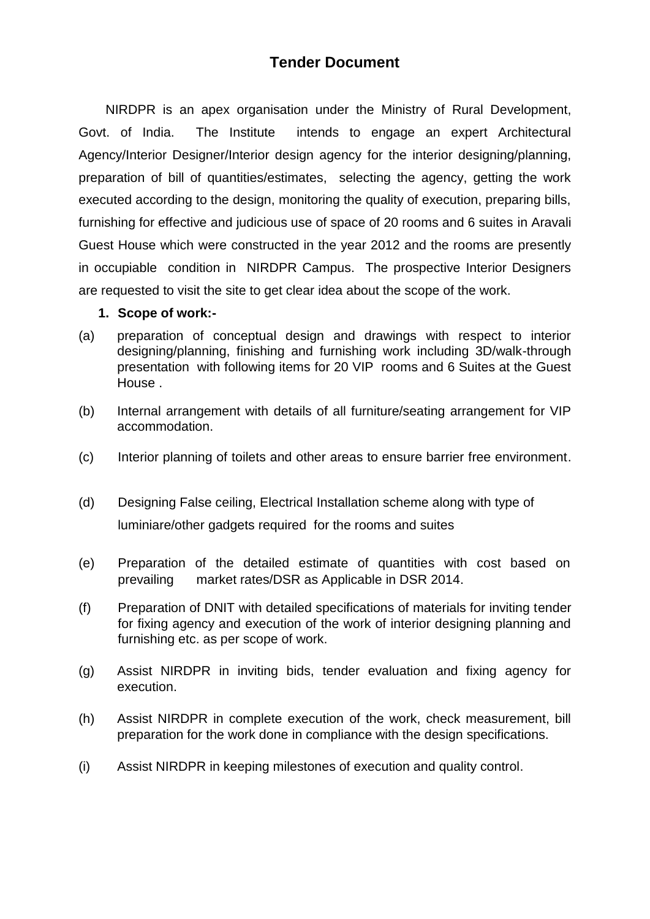# **Tender Document**

 NIRDPR is an apex organisation under the Ministry of Rural Development, Govt. of India. The Institute intends to engage an expert Architectural Agency/Interior Designer/Interior design agency for the interior designing/planning, preparation of bill of quantities/estimates, selecting the agency, getting the work executed according to the design, monitoring the quality of execution, preparing bills, furnishing for effective and judicious use of space of 20 rooms and 6 suites in Aravali Guest House which were constructed in the year 2012 and the rooms are presently in occupiable condition in NIRDPR Campus. The prospective Interior Designers are requested to visit the site to get clear idea about the scope of the work.

#### **1. Scope of work:-**

- (a) preparation of conceptual design and drawings with respect to interior designing/planning, finishing and furnishing work including 3D/walk-through presentation with following items for 20 VIP rooms and 6 Suites at the Guest House .
- (b) Internal arrangement with details of all furniture/seating arrangement for VIP accommodation.
- (c) Interior planning of toilets and other areas to ensure barrier free environment.
- (d) Designing False ceiling, Electrical Installation scheme along with type of luminiare/other gadgets required for the rooms and suites
- (e) Preparation of the detailed estimate of quantities with cost based on prevailing market rates/DSR as Applicable in DSR 2014.
- (f) Preparation of DNIT with detailed specifications of materials for inviting tender for fixing agency and execution of the work of interior designing planning and furnishing etc. as per scope of work.
- (g) Assist NIRDPR in inviting bids, tender evaluation and fixing agency for execution.
- (h) Assist NIRDPR in complete execution of the work, check measurement, bill preparation for the work done in compliance with the design specifications.
- (i) Assist NIRDPR in keeping milestones of execution and quality control.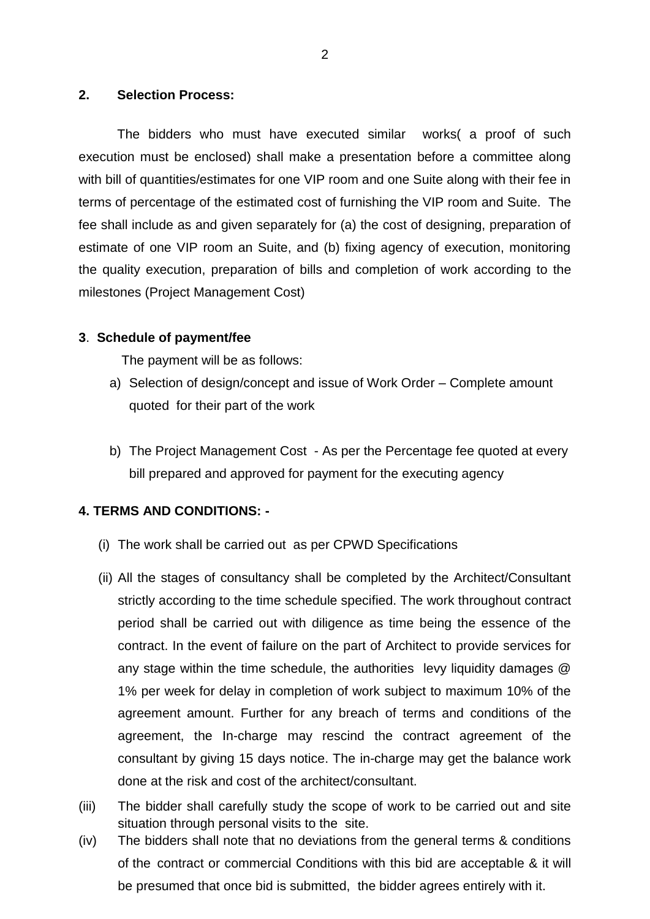#### **2. Selection Process:**

The bidders who must have executed similar works( a proof of such execution must be enclosed) shall make a presentation before a committee along with bill of quantities/estimates for one VIP room and one Suite along with their fee in terms of percentage of the estimated cost of furnishing the VIP room and Suite. The fee shall include as and given separately for (a) the cost of designing, preparation of estimate of one VIP room an Suite, and (b) fixing agency of execution, monitoring the quality execution, preparation of bills and completion of work according to the milestones (Project Management Cost)

### **3**. **Schedule of payment/fee**

The payment will be as follows:

- a) Selection of design/concept and issue of Work Order Complete amount quoted for their part of the work
- b) The Project Management Cost As per the Percentage fee quoted at every bill prepared and approved for payment for the executing agency

## **4. TERMS AND CONDITIONS: -**

- (i) The work shall be carried out as per CPWD Specifications
- (ii) All the stages of consultancy shall be completed by the Architect/Consultant strictly according to the time schedule specified. The work throughout contract period shall be carried out with diligence as time being the essence of the contract. In the event of failure on the part of Architect to provide services for any stage within the time schedule, the authorities levy liquidity damages @ 1% per week for delay in completion of work subject to maximum 10% of the agreement amount. Further for any breach of terms and conditions of the agreement, the In-charge may rescind the contract agreement of the consultant by giving 15 days notice. The in-charge may get the balance work done at the risk and cost of the architect/consultant.
- (iii) The bidder shall carefully study the scope of work to be carried out and site situation through personal visits to the site.
- (iv) The bidders shall note that no deviations from the general terms & conditions of the contract or commercial Conditions with this bid are acceptable & it will be presumed that once bid is submitted, the bidder agrees entirely with it.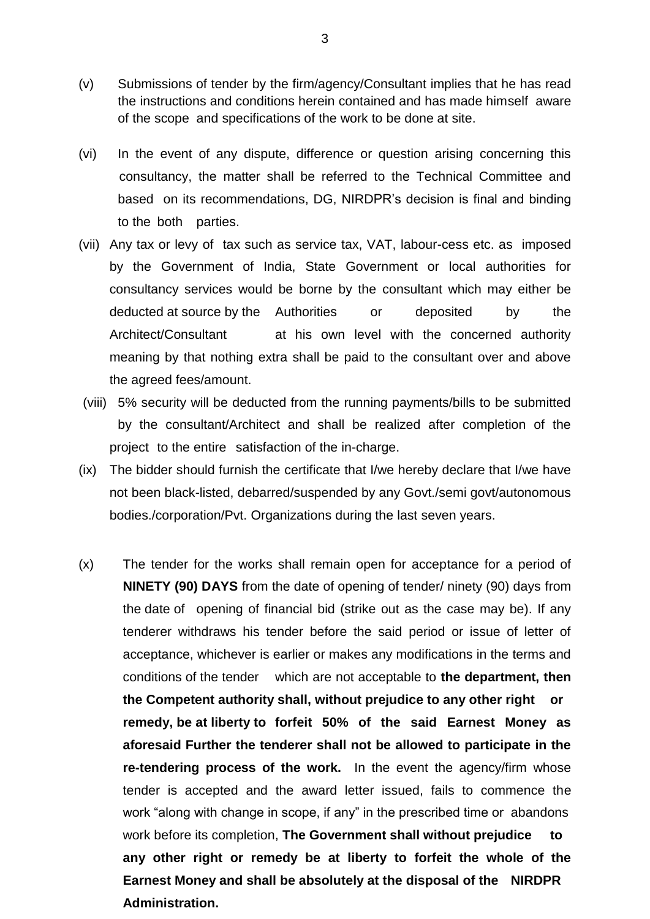- (v) Submissions of tender by the firm/agency/Consultant implies that he has read the instructions and conditions herein contained and has made himself aware of the scope and specifications of the work to be done at site.
- (vi) In the event of any dispute, difference or question arising concerning this consultancy, the matter shall be referred to the Technical Committee and based on its recommendations, DG, NIRDPR's decision is final and binding to the both parties.
- (vii) Any tax or levy of tax such as service tax, VAT, labour-cess etc. as imposed by the Government of India, State Government or local authorities for consultancy services would be borne by the consultant which may either be deducted at source by the Authorities or deposited by the Architect/Consultant at his own level with the concerned authority meaning by that nothing extra shall be paid to the consultant over and above the agreed fees/amount.
- (viii) 5% security will be deducted from the running payments/bills to be submitted by the consultant/Architect and shall be realized after completion of the project to the entire satisfaction of the in-charge.
- (ix) The bidder should furnish the certificate that I/we hereby declare that I/we have not been black-listed, debarred/suspended by any Govt./semi govt/autonomous bodies./corporation/Pvt. Organizations during the last seven years.
- (x) The tender for the works shall remain open for acceptance for a period of **NINETY (90) DAYS** from the date of opening of tender/ ninety (90) days from the date of opening of financial bid (strike out as the case may be). If any tenderer withdraws his tender before the said period or issue of letter of acceptance, whichever is earlier or makes any modifications in the terms and conditions of the tender which are not acceptable to **the department, then the Competent authority shall, without prejudice to any other right or remedy, be at liberty to forfeit 50% of the said Earnest Money as aforesaid Further the tenderer shall not be allowed to participate in the re-tendering process of the work.** In the event the agency/firm whose tender is accepted and the award letter issued, fails to commence the work "along with change in scope, if any" in the prescribed time or abandons work before its completion, **The Government shall without prejudice to any other right or remedy be at liberty to forfeit the whole of the Earnest Money and shall be absolutely at the disposal of the NIRDPR Administration.**